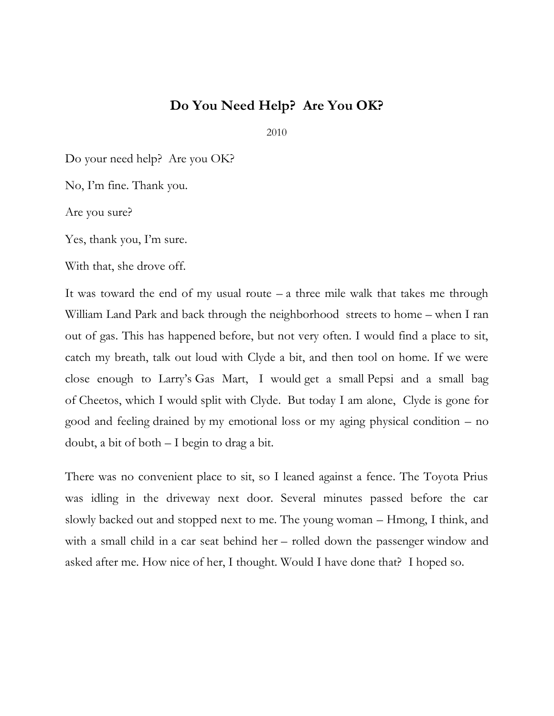## **Do You Need Help? Are You OK?**

2010

Do your need help? Are you OK?

No, I'm fine. Thank you.

Are you sure?

Yes, thank you, I'm sure.

With that, she drove off.

It was toward the end of my usual route  $-$  a three mile walk that takes me through William Land Park and back through the neighborhood streets to home – when I ran out of gas. This has happened before, but not very often. I would find a place to sit, catch my breath, talk out loud with Clyde a bit, and then tool on home. If we were close enough to Larry's Gas Mart, I would get a small Pepsi and a small bag of Cheetos, which I would split with Clyde. But today I am alone, Clyde is gone for good and feeling drained by my emotional loss or my aging physical condition – no doubt, a bit of both – I begin to drag a bit.

There was no convenient place to sit, so I leaned against a fence. The Toyota Prius was idling in the driveway next door. Several minutes passed before the car slowly backed out and stopped next to me. The young woman – Hmong, I think, and with a small child in a car seat behind her – rolled down the passenger window and asked after me. How nice of her, I thought. Would I have done that? I hoped so.